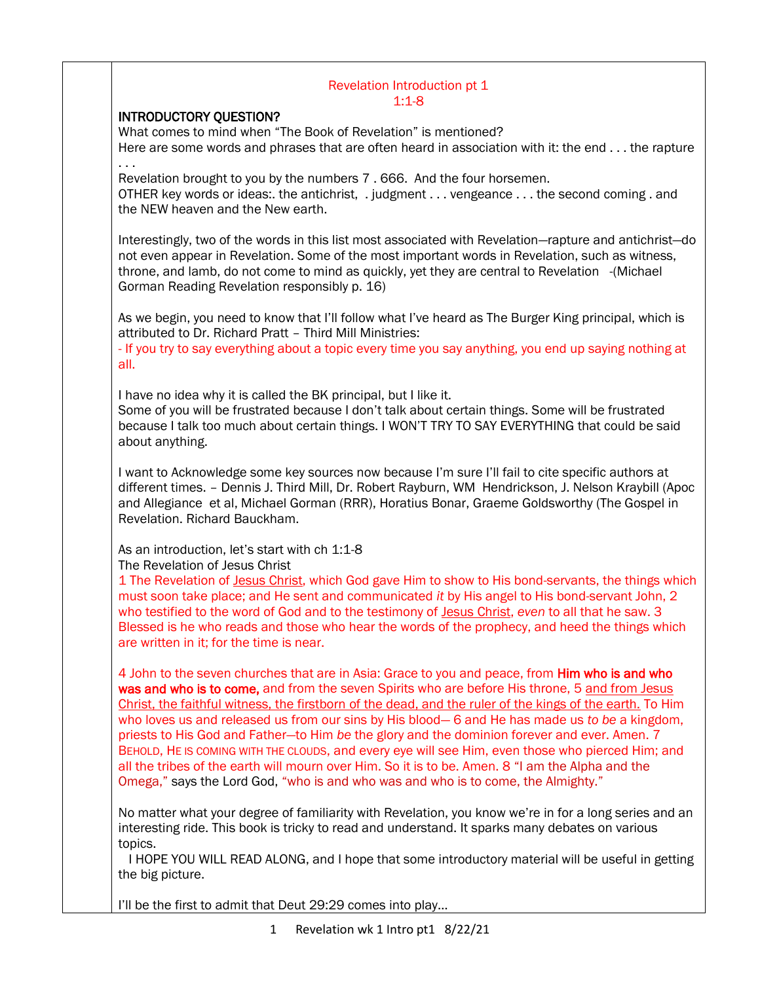#### Revelation Introduction pt 1 1:1-8

## INTRODUCTORY QUESTION?

What comes to mind when "The Book of Revelation" is mentioned? Here are some words and phrases that are often heard in association with it: the end . . . the rapture . . .

Revelation brought to you by the numbers 7 . 666. And the four horsemen.

OTHER key words or ideas:. the antichrist, . judgment . . . vengeance . . . the second coming . and the NEW heaven and the New earth.

Interestingly, two of the words in this list most associated with Revelation—rapture and antichrist—do not even appear in Revelation. Some of the most important words in Revelation, such as witness, throne, and lamb, do not come to mind as quickly, yet they are central to Revelation -(Michael Gorman Reading Revelation responsibly p. 16)

As we begin, you need to know that I'll follow what I've heard as The Burger King principal, which is attributed to Dr. Richard Pratt – Third Mill Ministries:

- If you try to say everything about a topic every time you say anything, you end up saying nothing at all.

I have no idea why it is called the BK principal, but I like it.

Some of you will be frustrated because I don't talk about certain things. Some will be frustrated because I talk too much about certain things. I WON'T TRY TO SAY EVERYTHING that could be said about anything.

I want to Acknowledge some key sources now because I'm sure I'll fail to cite specific authors at different times. – Dennis J. Third Mill, Dr. Robert Rayburn, WM Hendrickson, J. Nelson Kraybill (Apoc and Allegiance et al, Michael Gorman (RRR), Horatius Bonar, Graeme Goldsworthy (The Gospel in Revelation. Richard Bauckham.

As an introduction, let's start with ch 1:1-8

The Revelation of Jesus Christ

1 The Revelation of Jesus Christ, which God gave Him to show to His bond-servants, the things which must soon take place; and He sent and communicated *it* by His angel to His bond-servant John, 2 who testified to the word of God and to the testimony of Jesus Christ, *even* to all that he saw. 3 Blessed is he who reads and those who hear the words of the prophecy, and heed the things which are written in it; for the time is near.

4 John to the seven churches that are in Asia: Grace to you and peace, from **Him who is and who** was and who is to come, and from the seven Spirits who are before His throne, 5 and from Jesus Christ, the faithful witness, the firstborn of the dead, and the ruler of the kings of the earth. To Him who loves us and released us from our sins by His blood— 6 and He has made us *to be* a kingdom, priests to His God and Father—to Him *be* the glory and the dominion forever and ever. Amen. 7 BEHOLD, HE IS COMING WITH THE CLOUDS, and every eye will see Him, even those who pierced Him; and all the tribes of the earth will mourn over Him. So it is to be. Amen. 8 "I am the Alpha and the Omega," says the Lord God, "who is and who was and who is to come, the Almighty."

No matter what your degree of familiarity with Revelation, you know we're in for a long series and an interesting ride. This book is tricky to read and understand. It sparks many debates on various topics.

 I HOPE YOU WILL READ ALONG, and I hope that some introductory material will be useful in getting the big picture.

I'll be the first to admit that Deut 29:29 comes into play…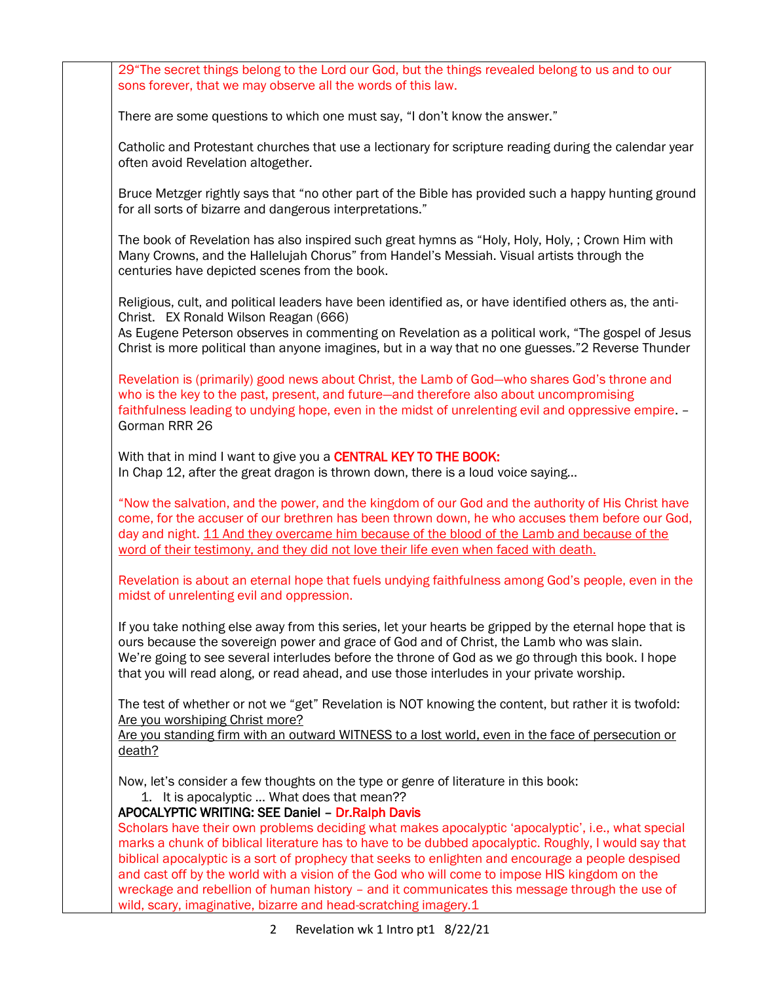29"The secret things belong to the Lord our God, but the things revealed belong to us and to our sons forever, that we may observe all the words of this law.

There are some questions to which one must say, "I don't know the answer."

Catholic and Protestant churches that use a lectionary for scripture reading during the calendar year often avoid Revelation altogether.

Bruce Metzger rightly says that "no other part of the Bible has provided such a happy hunting ground for all sorts of bizarre and dangerous interpretations."

The book of Revelation has also inspired such great hymns as "Holy, Holy, Holy, ; Crown Him with Many Crowns, and the Hallelujah Chorus" from Handel's Messiah. Visual artists through the centuries have depicted scenes from the book.

Religious, cult, and political leaders have been identified as, or have identified others as, the anti-Christ. EX Ronald Wilson Reagan (666)

As Eugene Peterson observes in commenting on Revelation as a political work, "The gospel of Jesus Christ is more political than anyone imagines, but in a way that no one guesses."2 Reverse Thunder

Revelation is (primarily) good news about Christ, the Lamb of God—who shares God's throne and who is the key to the past, present, and future—and therefore also about uncompromising faithfulness leading to undying hope, even in the midst of unrelenting evil and oppressive empire. – Gorman RRR 26

With that in mind I want to give you a CENTRAL KEY TO THE BOOK: In Chap 12, after the great dragon is thrown down, there is a loud voice saying…

"Now the salvation, and the power, and the kingdom of our God and the authority of His Christ have come, for the accuser of our brethren has been thrown down, he who accuses them before our God, day and night. 11 And they overcame him because of the blood of the Lamb and because of the word of their testimony, and they did not love their life even when faced with death.

Revelation is about an eternal hope that fuels undying faithfulness among God's people, even in the midst of unrelenting evil and oppression.

If you take nothing else away from this series, let your hearts be gripped by the eternal hope that is ours because the sovereign power and grace of God and of Christ, the Lamb who was slain. We're going to see several interludes before the throne of God as we go through this book. I hope that you will read along, or read ahead, and use those interludes in your private worship.

The test of whether or not we "get" Revelation is NOT knowing the content, but rather it is twofold: Are you worshiping Christ more?

Are you standing firm with an outward WITNESS to a lost world, even in the face of persecution or death?

Now, let's consider a few thoughts on the type or genre of literature in this book:

1. It is apocalyptic … What does that mean??

## APOCALYPTIC WRITING: SEE Daniel – Dr.Ralph Davis

Scholars have their own problems deciding what makes apocalyptic 'apocalyptic', i.e., what special marks a chunk of biblical literature has to have to be dubbed apocalyptic. Roughly, I would say that biblical apocalyptic is a sort of prophecy that seeks to enlighten and encourage a people despised and cast off by the world with a vision of the God who will come to impose HIS kingdom on the wreckage and rebellion of human history – and it communicates this message through the use of wild, scary, imaginative, bizarre and head-scratching imagery.1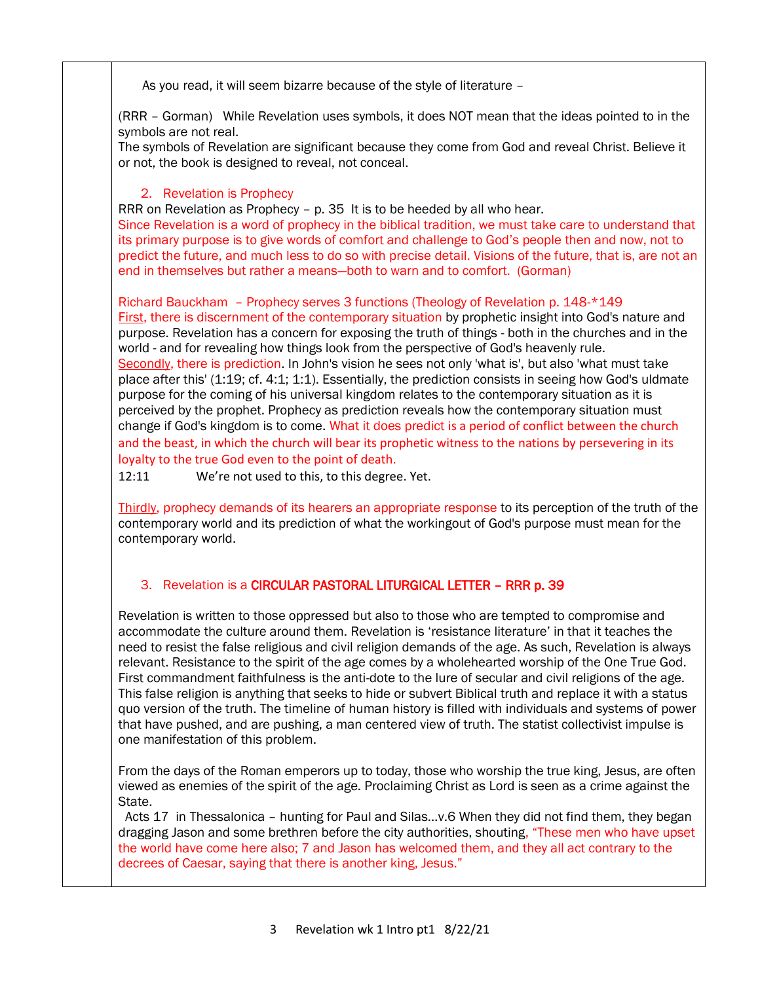As you read, it will seem bizarre because of the style of literature –

(RRR – Gorman) While Revelation uses symbols, it does NOT mean that the ideas pointed to in the symbols are not real.

The symbols of Revelation are significant because they come from God and reveal Christ. Believe it or not, the book is designed to reveal, not conceal.

# 2. Revelation is Prophecy

RRR on Revelation as Prophecy – p. 35 It is to be heeded by all who hear.

Since Revelation is a word of prophecy in the biblical tradition, we must take care to understand that its primary purpose is to give words of comfort and challenge to God's people then and now, not to predict the future, and much less to do so with precise detail. Visions of the future, that is, are not an end in themselves but rather a means—both to warn and to comfort. (Gorman)

Richard Bauckham – Prophecy serves 3 functions (Theology of Revelation p. 148-\*149 First, there is discernment of the contemporary situation by prophetic insight into God's nature and purpose. Revelation has a concern for exposing the truth of things - both in the churches and in the world - and for revealing how things look from the perspective of God's heavenly rule. Secondly, there is prediction. In John's vision he sees not only 'what is', but also 'what must take place after this' (1:19; cf. 4:1; 1:1). Essentially, the prediction consists in seeing how God's uldmate purpose for the coming of his universal kingdom relates to the contemporary situation as it is perceived by the prophet. Prophecy as prediction reveals how the contemporary situation must change if God's kingdom is to come. What it does predict is a period of conflict between the church and the beast, in which the church will bear its prophetic witness to the nations by persevering in its loyalty to the true God even to the point of death.

12:11 We're not used to this, to this degree. Yet.

Thirdly, prophecy demands of its hearers an appropriate response to its perception of the truth of the contemporary world and its prediction of what the workingout of God's purpose must mean for the contemporary world.

## 3. Revelation is a CIRCULAR PASTORAL LITURGICAL LETTER – RRR p. 39

Revelation is written to those oppressed but also to those who are tempted to compromise and accommodate the culture around them. Revelation is 'resistance literature' in that it teaches the need to resist the false religious and civil religion demands of the age. As such, Revelation is always relevant. Resistance to the spirit of the age comes by a wholehearted worship of the One True God. First commandment faithfulness is the anti-dote to the lure of secular and civil religions of the age. This false religion is anything that seeks to hide or subvert Biblical truth and replace it with a status quo version of the truth. The timeline of human history is filled with individuals and systems of power that have pushed, and are pushing, a man centered view of truth. The statist collectivist impulse is one manifestation of this problem.

From the days of the Roman emperors up to today, those who worship the true king, Jesus, are often viewed as enemies of the spirit of the age. Proclaiming Christ as Lord is seen as a crime against the State.

 Acts 17 in Thessalonica – hunting for Paul and Silas…v.6 When they did not find them, they began dragging Jason and some brethren before the city authorities, shouting, "These men who have upset the world have come here also; 7 and Jason has welcomed them, and they all act contrary to the decrees of Caesar, saying that there is another king, Jesus."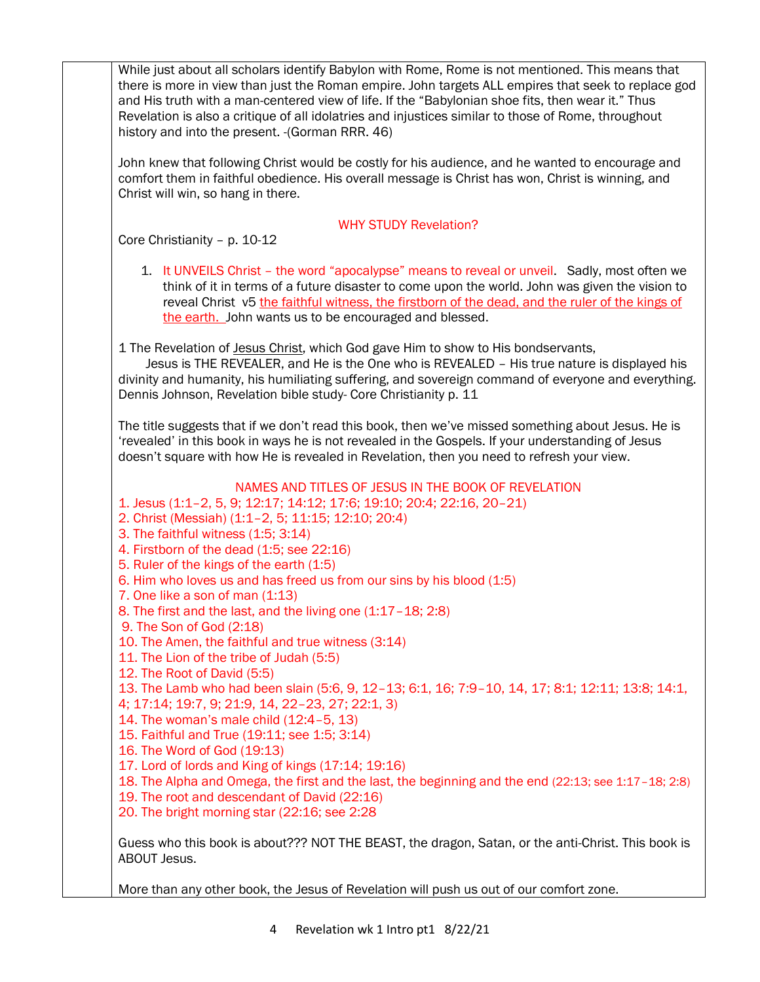While just about all scholars identify Babylon with Rome, Rome is not mentioned. This means that there is more in view than just the Roman empire. John targets ALL empires that seek to replace god and His truth with a man-centered view of life. If the "Babylonian shoe fits, then wear it." Thus Revelation is also a critique of all idolatries and injustices similar to those of Rome, throughout history and into the present. -(Gorman RRR. 46)

John knew that following Christ would be costly for his audience, and he wanted to encourage and comfort them in faithful obedience. His overall message is Christ has won, Christ is winning, and Christ will win, so hang in there.

### WHY STUDY Revelation?

Core Christianity – p. 10-12

1. It UNVEILS Christ – the word "apocalypse" means to reveal or unveil. Sadly, most often we think of it in terms of a future disaster to come upon the world. John was given the vision to reveal Christ v5 the faithful witness, the firstborn of the dead, and the ruler of the kings of the earth. John wants us to be encouraged and blessed.

1 The Revelation of Jesus Christ, which God gave Him to show to His bondservants,

 Jesus is THE REVEALER, and He is the One who is REVEALED – His true nature is displayed his divinity and humanity, his humiliating suffering, and sovereign command of everyone and everything. Dennis Johnson, Revelation bible study- Core Christianity p. 11

The title suggests that if we don't read this book, then we've missed something about Jesus. He is 'revealed' in this book in ways he is not revealed in the Gospels. If your understanding of Jesus doesn't square with how He is revealed in Revelation, then you need to refresh your view.

#### NAMES AND TITLES OF JESUS IN THE BOOK OF REVELATION

1. Jesus (1:1–2, 5, 9; 12:17; 14:12; 17:6; 19:10; 20:4; 22:16, 20–21)

- 2. Christ (Messiah) (1:1–2, 5; 11:15; 12:10; 20:4)
- 3. The faithful witness (1:5; 3:14)
- 4. Firstborn of the dead (1:5; see 22:16)
- 5. Ruler of the kings of the earth (1:5)
- 6. Him who loves us and has freed us from our sins by his blood (1:5)
- 7. One like a son of man (1:13)
- 8. The first and the last, and the living one (1:17–18; 2:8)
- 9. The Son of God (2:18)
- 10. The Amen, the faithful and true witness (3:14)
- 11. The Lion of the tribe of Judah (5:5)
- 12. The Root of David (5:5)

13. The Lamb who had been slain (5:6, 9, 12–13; 6:1, 16; 7:9–10, 14, 17; 8:1; 12:11; 13:8; 14:1,

4; 17:14; 19:7, 9; 21:9, 14, 22–23, 27; 22:1, 3)

- 14. The woman's male child (12:4–5, 13)
- 15. Faithful and True (19:11; see 1:5; 3:14)
- 16. The Word of God (19:13)
- 17. Lord of lords and King of kings (17:14; 19:16)
- 18. The Alpha and Omega, the first and the last, the beginning and the end (22:13; see 1:17–18; 2:8)
- 19. The root and descendant of David (22:16)
- 20. The bright morning star (22:16; see 2:28

Guess who this book is about??? NOT THE BEAST, the dragon, Satan, or the anti-Christ. This book is ABOUT Jesus.

More than any other book, the Jesus of Revelation will push us out of our comfort zone.